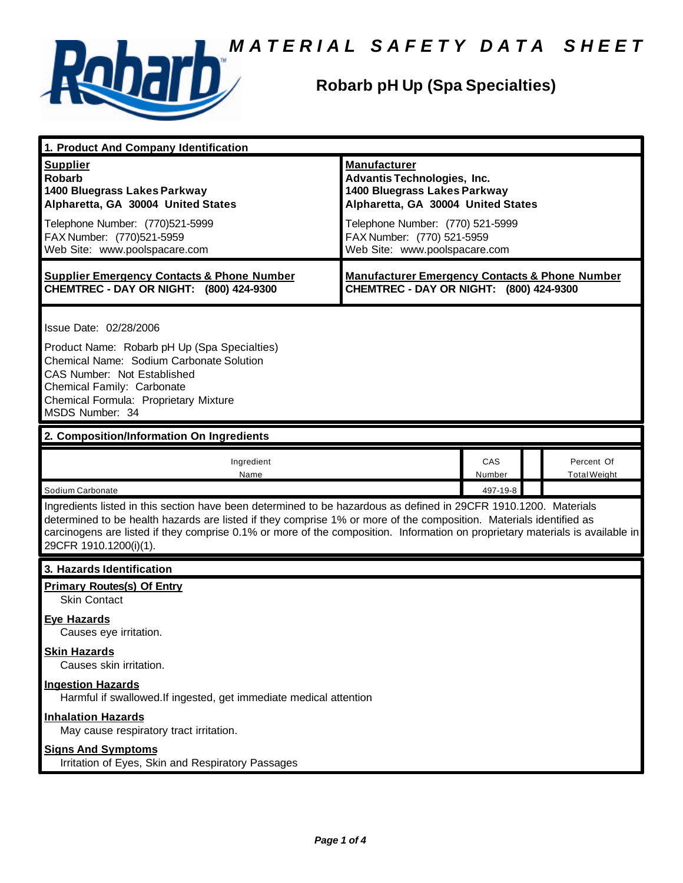

### **Robarb pH Up (Spa Specialties)**

| 1. Product And Company Identification                                                                                                                                                                                                                                                                                                                                                             |                                                                                                                                                                                                   |               |                                   |  |  |
|---------------------------------------------------------------------------------------------------------------------------------------------------------------------------------------------------------------------------------------------------------------------------------------------------------------------------------------------------------------------------------------------------|---------------------------------------------------------------------------------------------------------------------------------------------------------------------------------------------------|---------------|-----------------------------------|--|--|
| <b>Supplier</b><br><b>Robarb</b><br>1400 Bluegrass Lakes Parkway<br>Alpharetta, GA 30004 United States<br>Telephone Number: (770)521-5999<br>FAX Number: (770)521-5959                                                                                                                                                                                                                            | <b>Manufacturer</b><br><b>Advantis Technologies, Inc.</b><br>1400 Bluegrass Lakes Parkway<br>Alpharetta, GA 30004 United States<br>Telephone Number: (770) 521-5999<br>FAX Number: (770) 521-5959 |               |                                   |  |  |
| Web Site: www.poolspacare.com                                                                                                                                                                                                                                                                                                                                                                     | Web Site: www.poolspacare.com                                                                                                                                                                     |               |                                   |  |  |
| <b>Supplier Emergency Contacts &amp; Phone Number</b><br>CHEMTREC - DAY OR NIGHT: (800) 424-9300                                                                                                                                                                                                                                                                                                  | <b>Manufacturer Emergency Contacts &amp; Phone Number</b><br>CHEMTREC - DAY OR NIGHT: (800) 424-9300                                                                                              |               |                                   |  |  |
| Issue Date: 02/28/2006<br>Product Name: Robarb pH Up (Spa Specialties)<br>Chemical Name: Sodium Carbonate Solution<br>CAS Number: Not Established<br>Chemical Family: Carbonate<br>Chemical Formula: Proprietary Mixture<br>MSDS Number: 34                                                                                                                                                       |                                                                                                                                                                                                   |               |                                   |  |  |
| 2. Composition/Information On Ingredients                                                                                                                                                                                                                                                                                                                                                         |                                                                                                                                                                                                   |               |                                   |  |  |
| Ingredient<br>Name                                                                                                                                                                                                                                                                                                                                                                                |                                                                                                                                                                                                   | CAS<br>Number | Percent Of<br><b>Total Weight</b> |  |  |
| Sodium Carbonate                                                                                                                                                                                                                                                                                                                                                                                  |                                                                                                                                                                                                   | 497-19-8      |                                   |  |  |
| Ingredients listed in this section have been determined to be hazardous as defined in 29CFR 1910.1200. Materials<br>determined to be health hazards are listed if they comprise 1% or more of the composition. Materials identified as<br>carcinogens are listed if they comprise 0.1% or more of the composition. Information on proprietary materials is available in<br>29CFR 1910.1200(i)(1). |                                                                                                                                                                                                   |               |                                   |  |  |
| 3. Hazards Identification                                                                                                                                                                                                                                                                                                                                                                         |                                                                                                                                                                                                   |               |                                   |  |  |
| <b>Primary Routes(s) Of Entry</b><br><b>Skin Contact</b>                                                                                                                                                                                                                                                                                                                                          |                                                                                                                                                                                                   |               |                                   |  |  |
| <b>Eye Hazards</b><br>Causes eye irritation.                                                                                                                                                                                                                                                                                                                                                      |                                                                                                                                                                                                   |               |                                   |  |  |
| <b>Skin Hazards</b><br>Causes skin irritation.                                                                                                                                                                                                                                                                                                                                                    |                                                                                                                                                                                                   |               |                                   |  |  |
| <b>Ingestion Hazards</b><br>Harmful if swallowed. If ingested, get immediate medical attention                                                                                                                                                                                                                                                                                                    |                                                                                                                                                                                                   |               |                                   |  |  |
| <b>Inhalation Hazards</b><br>May cause respiratory tract irritation.                                                                                                                                                                                                                                                                                                                              |                                                                                                                                                                                                   |               |                                   |  |  |
| <b>Signs And Symptoms</b><br>Irritation of Eyes, Skin and Respiratory Passages                                                                                                                                                                                                                                                                                                                    |                                                                                                                                                                                                   |               |                                   |  |  |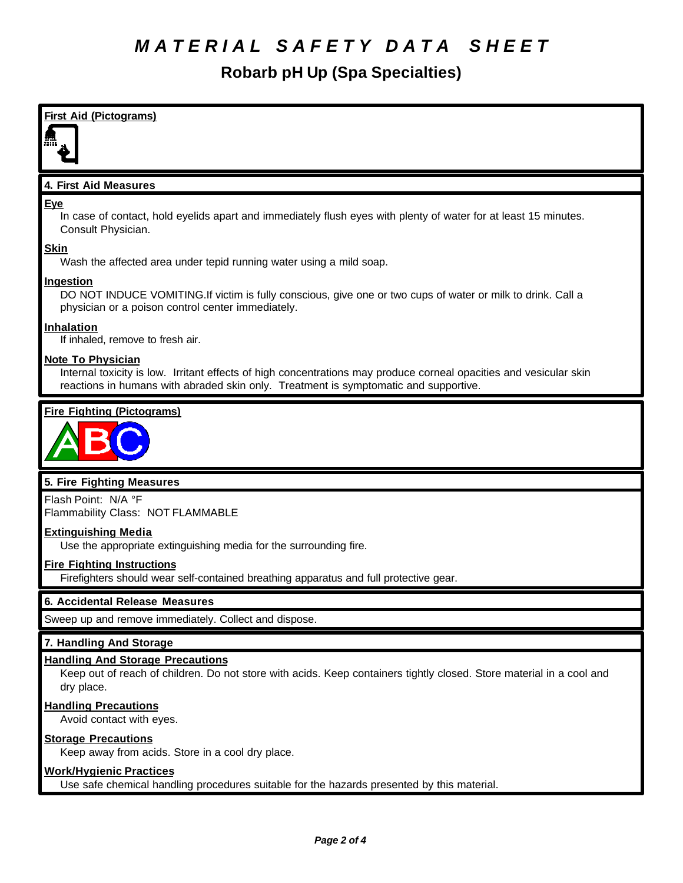**Robarb pH Up (Spa Specialties)**



#### **Handling Precautions**

Avoid contact with eyes.

#### **Storage Precautions**

Keep away from acids. Store in a cool dry place.

#### **Work/Hygienic Practices**

Use safe chemical handling procedures suitable for the hazards presented by this material.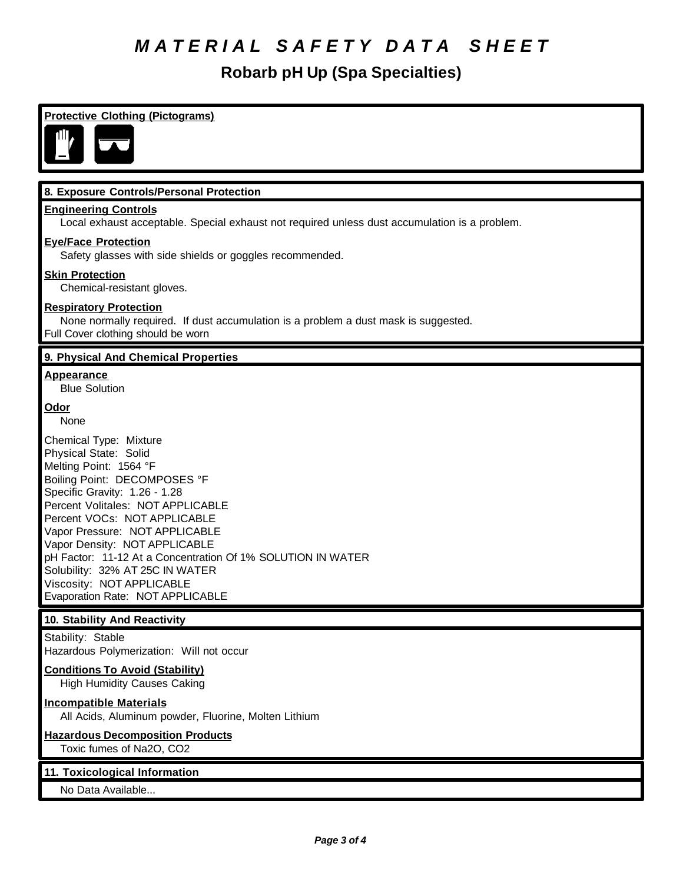**Robarb pH Up (Spa Specialties)**

| <b>Protective Clothing (Pictograms)</b>                                                                                                                                                                                                                                                                                                                                                                                                               |  |
|-------------------------------------------------------------------------------------------------------------------------------------------------------------------------------------------------------------------------------------------------------------------------------------------------------------------------------------------------------------------------------------------------------------------------------------------------------|--|
| ıП.                                                                                                                                                                                                                                                                                                                                                                                                                                                   |  |
| 8. Exposure Controls/Personal Protection                                                                                                                                                                                                                                                                                                                                                                                                              |  |
| <b>Engineering Controls</b><br>Local exhaust acceptable. Special exhaust not required unless dust accumulation is a problem.                                                                                                                                                                                                                                                                                                                          |  |
| <b>Eye/Face Protection</b>                                                                                                                                                                                                                                                                                                                                                                                                                            |  |
| Safety glasses with side shields or goggles recommended.                                                                                                                                                                                                                                                                                                                                                                                              |  |
| <b>Skin Protection</b><br>Chemical-resistant gloves.                                                                                                                                                                                                                                                                                                                                                                                                  |  |
| <b>Respiratory Protection</b><br>None normally required. If dust accumulation is a problem a dust mask is suggested.<br>Full Cover clothing should be worn                                                                                                                                                                                                                                                                                            |  |
| 9. Physical And Chemical Properties                                                                                                                                                                                                                                                                                                                                                                                                                   |  |
| <b>Appearance</b><br><b>Blue Solution</b>                                                                                                                                                                                                                                                                                                                                                                                                             |  |
| Odor<br>None                                                                                                                                                                                                                                                                                                                                                                                                                                          |  |
| Chemical Type: Mixture<br>Physical State: Solid<br>Melting Point: 1564 °F<br>Boiling Point: DECOMPOSES °F<br>Specific Gravity: 1.26 - 1.28<br>Percent Volitales: NOT APPLICABLE<br>Percent VOCs: NOT APPLICABLE<br>Vapor Pressure: NOT APPLICABLE<br>Vapor Density: NOT APPLICABLE<br>pH Factor: 11-12 At a Concentration Of 1% SOLUTION IN WATER<br>Solubility: 32% AT 25C IN WATER<br>Viscosity: NOT APPLICABLE<br>Evaporation Rate: NOT APPLICABLE |  |
| 10. Stability And Reactivity                                                                                                                                                                                                                                                                                                                                                                                                                          |  |
| Stability: Stable<br>Hazardous Polymerization: Will not occur                                                                                                                                                                                                                                                                                                                                                                                         |  |
| <b>Conditions To Avoid (Stability)</b><br><b>High Humidity Causes Caking</b>                                                                                                                                                                                                                                                                                                                                                                          |  |
| <b>Incompatible Materials</b><br>All Acids, Aluminum powder, Fluorine, Molten Lithium                                                                                                                                                                                                                                                                                                                                                                 |  |
| <b>Hazardous Decomposition Products</b><br>Toxic fumes of Na2O, CO2                                                                                                                                                                                                                                                                                                                                                                                   |  |
| 11. Toxicological Information                                                                                                                                                                                                                                                                                                                                                                                                                         |  |
| No Data Available                                                                                                                                                                                                                                                                                                                                                                                                                                     |  |